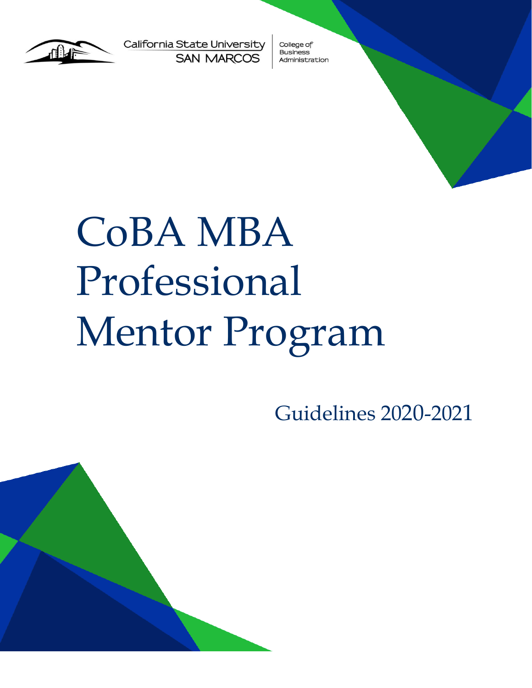

California State University **SAN MARCOS** 

College of **Business** Administration

# CoBA MBA Professional Mentor Program

Guidelines 2020-2021

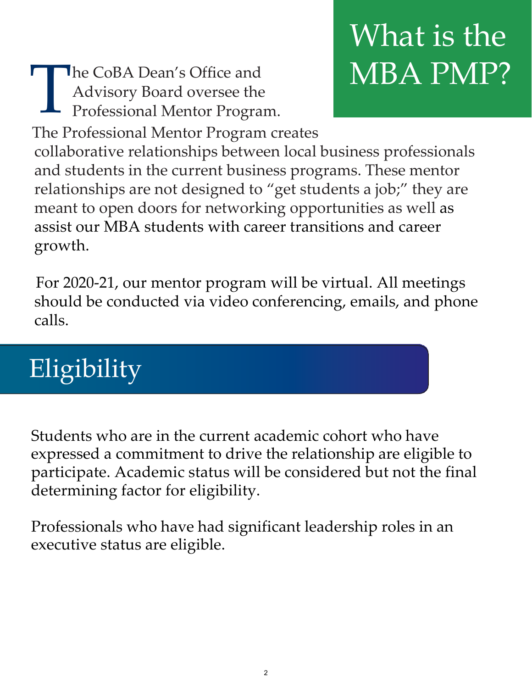T he CoBA Dean's Office and Advisory Board oversee the Professional Mentor Program.

## What is the MBA PMP?

The Professional Mentor Program creates collaborative relationships between local business professionals and students in the current business programs. These mentor relationships are not designed to "get students a job;" they are meant to open doors for networking opportunities as well as assist our MBA students with career transitions and career growth.

For 2020-21, our mentor program will be virtual. All meetings should be conducted via video conferencing, emails, and phone calls.

### Eligibility

Students who are in the current academic cohort who have expressed a commitment to drive the relationship are eligible to participate. Academic status will be considered but not the final determining factor for eligibility.

Professionals who have had significant leadership roles in an executive status are eligible.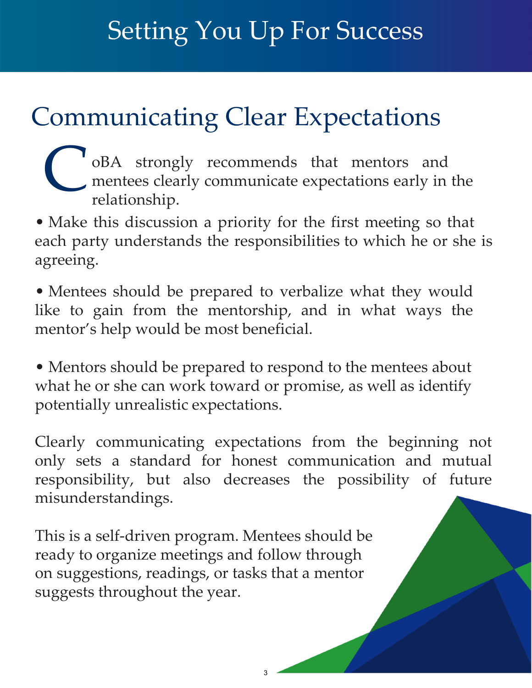#### Setting You Up For Success

#### Communicating Clear Expectations

oBA strongly recommends that mentors and mentees clearly communicate expectations early in the relationship. C

• Make this discussion a priority for the first meeting so that each party understands the responsibilities to which he or she is agreeing.

• Mentees should be prepared to verbalize what they would like to gain from the mentorship, and in what ways the mentor's help would be most beneficial.

• Mentors should be prepared to respond to the mentees about what he or she can work toward or promise, as well as identify potentially unrealistic expectations.

Clearly communicating expectations from the beginning not only sets a standard for honest communication and mutual responsibility, but also decreases the possibility of future misunderstandings.

This is a self-driven program. Mentees should be ready to organize meetings and follow through on suggestions, readings, or tasks that a mentor suggests throughout the year.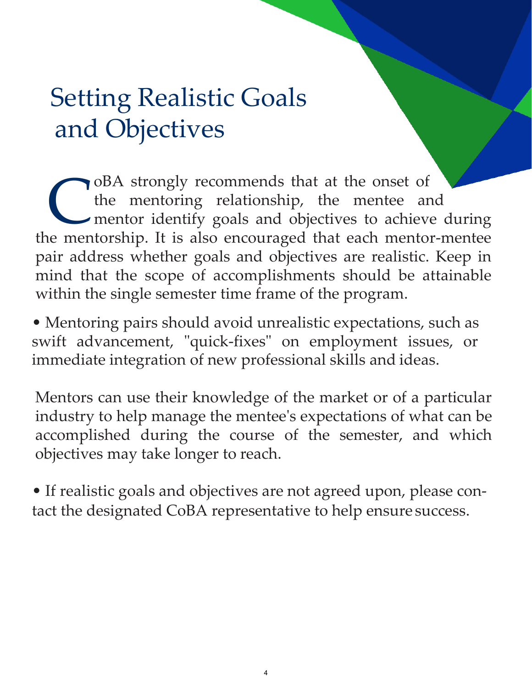#### Setting Realistic Goals and Objectives

oBA strongly recommends that at the onset of the mentoring relationship, the mentee and mentor identify goals and objectives to achieve during the mentorship. It is also encouraged that each mentor-mentee pair address whether goals and objectives are realistic. Keep in mind that the scope of accomplishments should be attainable within the single semester time frame of the program. C

• Mentoring pairs should avoid unrealistic expectations, such as swift advancement, "quick-fixes" on employment issues, or immediate integration of new professional skills and ideas.

Mentors can use their knowledge of the market or of a particular industry to help manage the mentee's expectations of what can be accomplished during the course of the semester, and which objectives may take longer to reach.

• If realistic goals and objectives are not agreed upon, please contact the designated CoBA representative to help ensure success.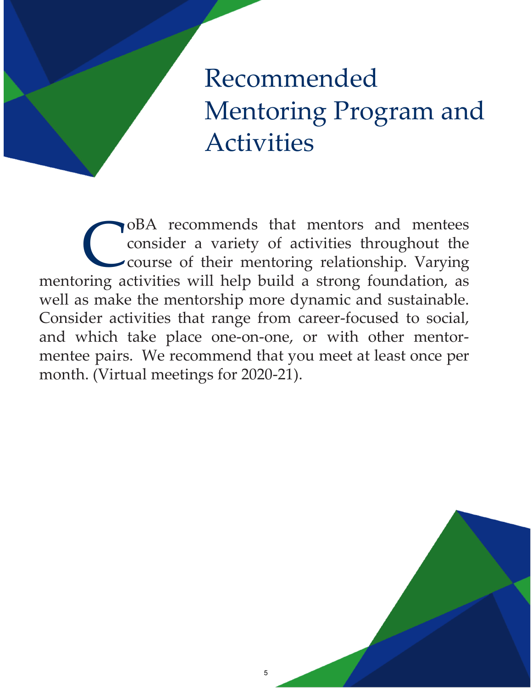#### Recommended Mentoring Program and Activities

oBA recommends that mentors and mentees consider a variety of activities throughout the course of their mentoring relationship. Varying mentoring activities will help build a strong foundation, as well as make the mentorship more dynamic and sustainable. Consider activities that range from career-focused to social, and which take place one-on-one, or with other mentormentee pairs. We recommend that you meet at least once per month. (Virtual meetings for 2020-21). C

5

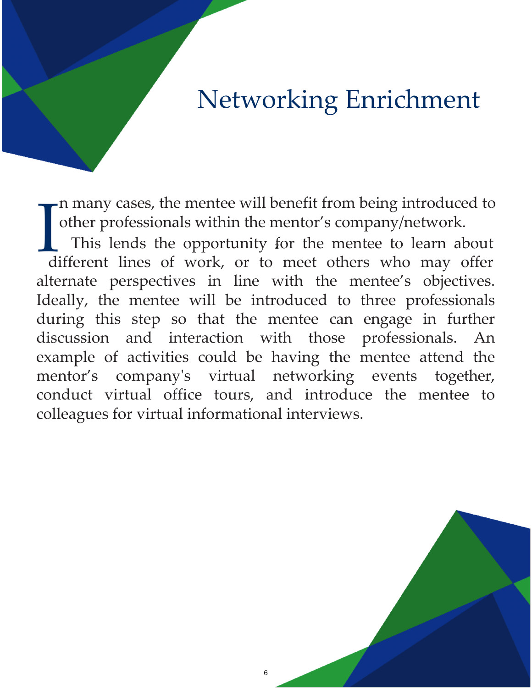#### Networking Enrichment

n many cases, the mentee will benefit from being introduced to other professionals within the mentor's company/network.

I alternate perspectives in line with the mentee's objectives. Ideally, the mentee will be introduced to three professionals during this step so that the mentee can engage in further discussion and interaction with those professionals. An example of activities could be having the mentee attend the mentor's company's virtual networking events together, conduct virtual office tours, and introduce the mentee to colleagues for virtual informational interviews. This lends the opportunity for the mentee to learn about different lines of work, or to meet others who may offer

6

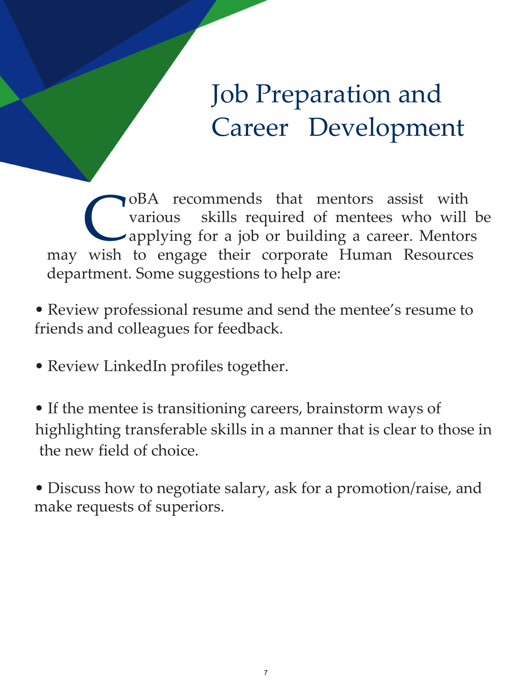#### Job Preparation and Career Development

oBA recommends that mentors assist with various skills required of mentees who will be applying for a job or building a career. Mentors may wish to engage their corporate Human Resources department. Some suggestions to help are: C<br>wish

- Review professional resume and send the mentee's resume to friends and colleagues for feedback.
- Review LinkedIn profiles together.
- If the mentee is transitioning careers, brainstorm ways of highlighting transferable skills in a manner that is clear to those in the new field of choice.
- Discuss how to negotiate salary, ask for a promotion/raise, and make requests of superiors.